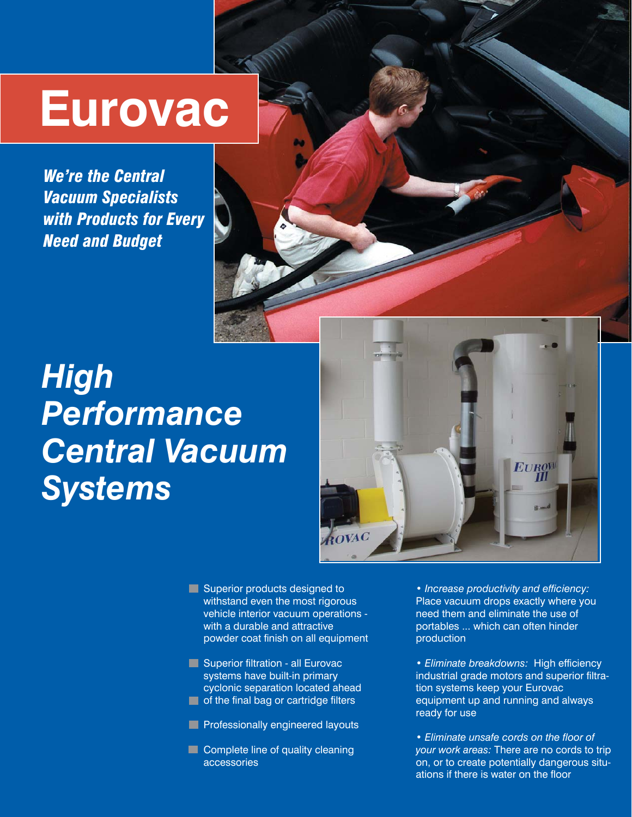## **Eurovac**

*We're the Central Vacuum Specialists with Products for Every Need and Budget*

## *High Performance Central Vacuum Systems*



- Superior products designed to withstand even the most rigorous vehicle interior vacuum operations with a durable and attractive powder coat finish on all equipment
- **Superior filtration all Eurovac** systems have built-in primary cyclonic separation located ahead **T** of the final bag or cartridge filters
- **Professionally engineered layouts**
- **Complete line of quality cleaning** accessories

• *Increase productivity and efficiency:*  Place vacuum drops exactly where you need them and eliminate the use of portables ... which can often hinder production

- *Eliminate breakdowns:* High efficiency industrial grade motors and superior filtration systems keep your Eurovac equipment up and running and always ready for use
- *Eliminate unsafe cords on the floor of your work areas:* There are no cords to trip on, or to create potentially dangerous situations if there is water on the floor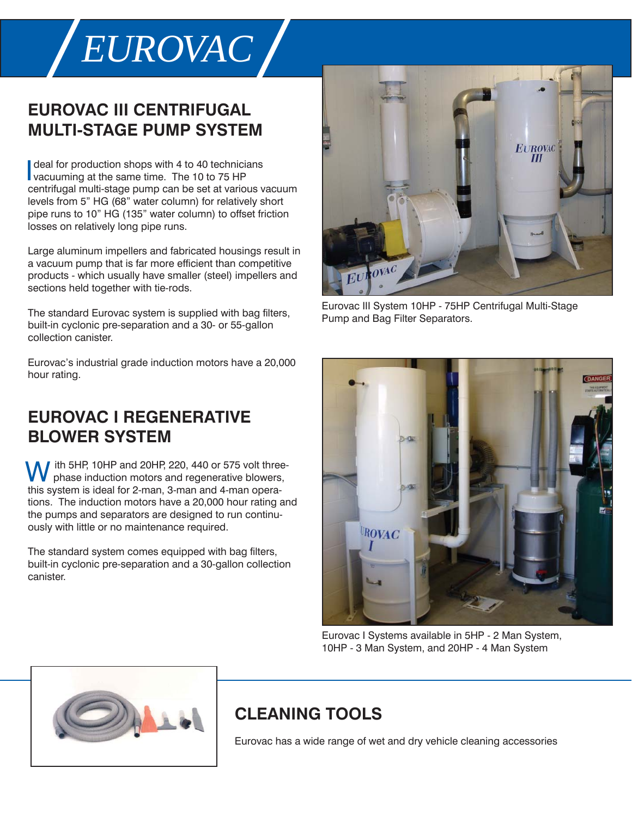# *EUROVAC*

#### **EUROVAC III CENTRIFUGAL MULTI-STAGE PUMP SYSTEM**

deal for production shops with 4 to 40 technicians deal for production shops with 4 to 40 technicial vacuuming at the same time. The 10 to 75 HP centrifugal multi-stage pump can be set at various vacuum levels from 5" HG (68" water column) for relatively short pipe runs to 10" HG (135" water column) to offset friction losses on relatively long pipe runs.

Large aluminum impellers and fabricated housings result in a vacuum pump that is far more efficient than competitive products - which usually have smaller (steel) impellers and sections held together with tie-rods.

The standard Eurovac system is supplied with bag filters, built-in cyclonic pre-separation and a 30- or 55-gallon collection canister.

Eurovac's industrial grade induction motors have a 20,000 hour rating.

#### **EUROVAC I REGENERATIVE BLOWER SYSTEM**

ith 5HP, 10HP and 20HP, 220, 440 or 575 volt three phase induction motors and regenerative blowers, this system is ideal for 2-man, 3-man and 4-man operations. The induction motors have a 20,000 hour rating and the pumps and separators are designed to run continuously with little or no maintenance required. W

The standard system comes equipped with bag filters, built-in cyclonic pre-separation and a 30-gallon collection canister.



Eurovac III System 10HP - 75HP Centrifugal Multi-Stage Pump and Bag Filter Separators.



Eurovac I Systems available in 5HP - 2 Man System, 10HP - 3 Man System, and 20HP - 4 Man System



#### **CLEANING TOOLS**

Eurovac has a wide range of wet and dry vehicle cleaning accessories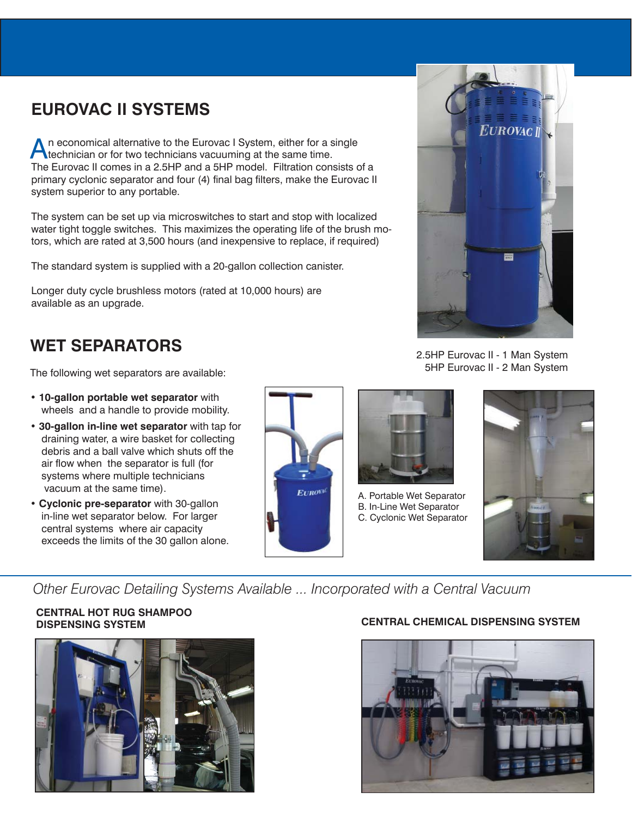#### **EUROVAC II SYSTEMS**

 n economical alternative to the Eurovac I System, either for a single An economical alternative to the Eurovac I System, either for a street three technician or for two technicians vacuuming at the same time. The Eurovac II comes in a 2.5HP and a 5HP model. Filtration consists of a primary cyclonic separator and four (4) final bag filters, make the Eurovac II system superior to any portable.

The system can be set up via microswitches to start and stop with localized water tight toggle switches. This maximizes the operating life of the brush motors, which are rated at 3,500 hours (and inexpensive to replace, if required)

The standard system is supplied with a 20-gallon collection canister.

Longer duty cycle brushless motors (rated at 10,000 hours) are available as an upgrade.

#### **WET SEPARATORS**

The following wet separators are available:

- **10-gallon portable wet separator** with wheels and a handle to provide mobility.
- **30-gallon in-line wet separator** with tap for draining water, a wire basket for collecting debris and a ball valve which shuts off the air flow when the separator is full (for systems where multiple technicians vacuum at the same time).
- **Cyclonic pre-separator** with 30-gallon in-line wet separator below. For larger central systems where air capacity exceeds the limits of the 30 gallon alone.



2.5HP Eurovac II - 1 Man System 5HP Eurovac II - 2 Man System



A. Portable Wet Separator B. In-Line Wet Separator C. Cyclonic Wet Separator



*Other Eurovac Detailing Systems Available ... Incorporated with a Central Vacuum*

### **CENTRAL HOT RUG SHAMPOO**



#### **DISPENSING SYSTEM CENTRAL CHEMICAL DISPENSING SYSTEM**